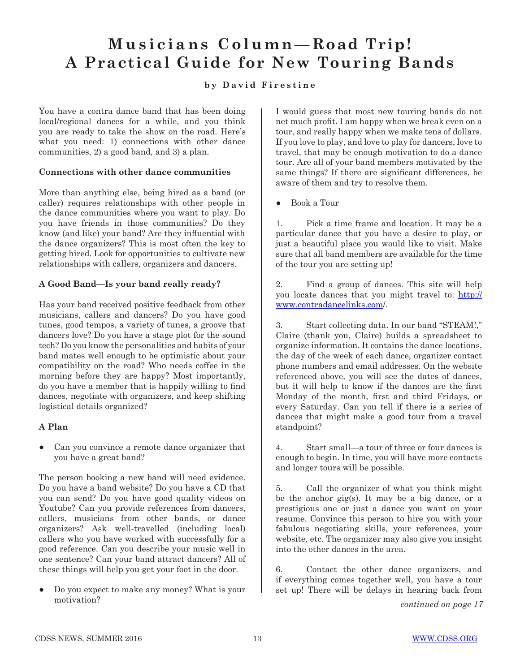# **Musicians Column—Road Trip! A Practical Guide for New Touring Bands**

# **by David Firestine**

You have a contra dance band that has been doing local/regional dances for a while, and you think you are ready to take the show on the road. Here's what you need: 1) connections with other dance communities, 2) a good band, and 3) a plan.

# **Connections with other dance communities**

More than anything else, being hired as a band (or caller) requires relationships with other people in the dance communities where you want to play. Do you have friends in those communities? Do they know (and like) your band? Are they influential with the dance organizers? This is most often the key to getting hired. Look for opportunities to cultivate new relationships with callers, organizers and dancers.

# **A Good Band—Is your band really ready?**

Has your band received positive feedback from other musicians, callers and dancers? Do you have good tunes, good tempos, a variety of tunes, a groove that dancers love? Do you have a stage plot for the sound tech? Do you know the personalities and habits of your band mates well enough to be optimistic about your compatibility on the road? Who needs coffee in the morning before they are happy? Most importantly, do you have a member that is happily willing to find dances, negotiate with organizers, and keep shifting logistical details organized?

# **A Plan**

*●* Can you convince a remote dance organizer that you have a great band?

The person booking a new band will need evidence. Do you have a band website? Do you have a CD that you can send? Do you have good quality videos on Youtube? Can you provide references from dancers, callers, musicians from other bands, or dance organizers? Ask well-travelled (including local) callers who you have worked with successfully for a good reference. Can you describe your music well in one sentence? Can your band attract dancers? All of these things will help you get your foot in the door.

*●* Do you expect to make any money? What is your motivation?

I would guess that most new touring bands do not net much profit. I am happy when we break even on a tour, and really happy when we make tens of dollars. If you love to play, and love to play for dancers, love to travel, that may be enough motivation to do a dance tour. Are all of your band members motivated by the same things? If there are significant differences, be aware of them and try to resolve them.

*●* Book a Tour

1. Pick a time frame and location. It may be a particular dance that you have a desire to play, or just a beautiful place you would like to visit. Make sure that all band members are available for the time of the tour you are setting up!

2. Find a group of dances. This site will help you locate dances that you might travel to: http:// www.contradancelinks.com/.

3. Start collecting data. In our band "STEAM!," Claire (thank you, Claire) builds a spreadsheet to organize information. It contains the dance locations, the day of the week of each dance, organizer contact phone numbers and email addresses. On the website referenced above, you will see the dates of dances, but it will help to know if the dances are the first Monday of the month, first and third Fridays, or every Saturday. Can you tell if there is a series of dances that might make a good tour from a travel standpoint?

4. Start small—a tour of three or four dances is enough to begin. In time, you will have more contacts and longer tours will be possible.

5. Call the organizer of what you think might be the anchor gig(s). It may be a big dance, or a prestigious one or just a dance you want on your resume. Convince this person to hire you with your fabulous negotiating skills, your references, your website, etc. The organizer may also give you insight into the other dances in the area.

6. Contact the other dance organizers, and if everything comes together well, you have a tour set up! There will be delays in hearing back from

*continued on page 17*